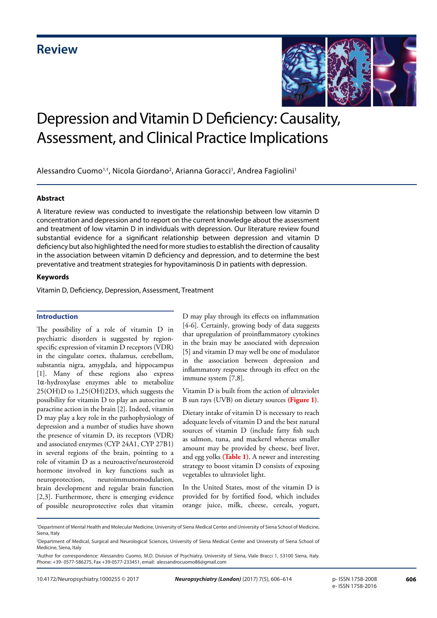

# Depression and Vitamin D Deficiency: Causality, Assessment, and Clinical Practice Implications

Alessandro Cuomo<sup>1,†</sup>, Nicola Giordano<sup>2</sup>, Arianna Goracci<sup>1</sup>, Andrea Fagiolini<sup>1</sup>

#### **Abstract**

A literature review was conducted to investigate the relationship between low vitamin D concentration and depression and to report on the current knowledge about the assessment and treatment of low vitamin D in individuals with depression. Our literature review found substantial evidence for a significant relationship between depression and vitamin D deficiency but also highlighted the need for more studies to establish the direction of causality in the association between vitamin D deficiency and depression, and to determine the best preventative and treatment strategies for hypovitaminosis D in patients with depression.

#### **Keywords**

Vitamin D, Deficiency, Depression, Assessment, Treatment

#### **Introduction**

The possibility of a role of vitamin D in psychiatric disorders is suggested by regionspecific expression of vitamin D receptors (VDR) in the cingulate cortex, thalamus, cerebellum, substantia nigra, amygdala, and hippocampus [1]. Many of these regions also express 1α-hydroxylase enzymes able to metabolize 25(OH)D to 1,25(OH)2D3, which suggests the possibility for vitamin D to play an autocrine or paracrine action in the brain [2]. Indeed, vitamin D may play a key role in the pathophysiology of depression and a number of studies have shown the presence of vitamin D, its receptors (VDR) and associated enzymes (CYP 24A1, CYP 27B1) in several regions of the brain, pointing to a role of vitamin D as a neuroactive/neurosteroid hormone involved in key functions such as neuroprotection, neuroimmunomodulation, brain development and regular brain function [2,3]. Furthermore, there is emerging evidence of possible neuroprotective roles that vitamin

D may play through its effects on inflammation [4-6]. Certainly, growing body of data suggests that upregulation of proinflammatory cytokines in the brain may be associated with depression [5] and vitamin D may well be one of modulator in the association between depression and inflammatory response through its effect on the immune system [7,8].

Vitamin D is built from the action of ultraviolet B sun rays (UVB) on dietary sources **(Figure 1)**.

Dietary intake of vitamin D is necessary to reach adequate levels of vitamin D and the best natural sources of vitamin D (include fatty fish such as salmon, tuna, and mackerel whereas smaller amount may be provided by cheese, beef liver, and egg yolks **(Table 1)**. A newer and interesting strategy to boost vitamin D consists of exposing vegetables to ultraviolet light.

In the United States, most of the vitamin D is provided for by fortified food, which includes orange juice, milk, cheese, cereals, yogurt,

<sup>1</sup> Department of Mental Health and Molecular Medicine, University of Siena Medical Center and University of Siena School of Medicine, Siena, Italy

<sup>2</sup> Department of Medical, Surgical and Neurological Sciences, University of Siena Medical Center and University of Siena School of Medicine, Siena, Italy

<sup>†</sup> Author for correspondence: Alessandro Cuomo, M.D. Division of Psychiatry, University of Siena, Viale Bracci 1, 53100 Siena, Italy. Phone: +39- 0577-586275, Fax +39-0577-233451, email: alessandrocuomo86@gmail.com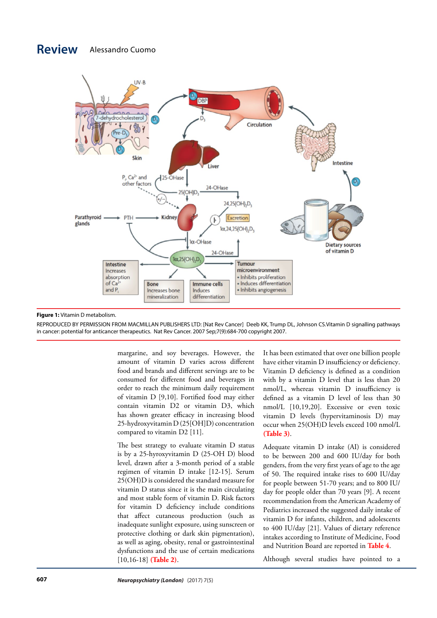### **Review** Alessandro Cuomo



#### **Figure 1:** Vitamin D metabolism.

REPRODUCED BY PERMISSION FROM MACMILLAN PUBLISHERS LTD: [Nat Rev Cancer] Deeb KK, Trump DL, Johnson CS.Vitamin D signalling pathways in cancer: potential for anticancer therapeutics. Nat Rev Cancer. 2007 Sep;7(9):684-700 copyright 2007.

> margarine, and soy beverages. However, the amount of vitamin D varies across different food and brands and different servings are to be consumed for different food and beverages in order to reach the minimum daily requirement of vitamin D [9,10]. Fortified food may either contain vitamin D2 or vitamin D3, which has shown greater efficacy in increasing blood 25-hydroxyvitamin D (25[OH]D) concentration compared to vitamin D2 [11].

> The best strategy to evaluate vitamin D status is by a 25-hyroxyvitamin D (25-OH D) blood level, drawn after a 3-month period of a stable regimen of vitamin D intake [12-15]. Serum 25(OH)D is considered the standard measure for vitamin D status since it is the main circulating and most stable form of vitamin D. Risk factors for vitamin D deficiency include conditions that affect cutaneous production (such as inadequate sunlight exposure, using sunscreen or protective clothing or dark skin pigmentation), as well as aging, obesity, renal or gastrointestinal dysfunctions and the use of certain medications [10,16-18] **(Table 2)**.

It has been estimated that over one billion people have either vitamin D insufficiency or deficiency. Vitamin D deficiency is defined as a condition with by a vitamin D level that is less than 20 nmol/L, whereas vitamin D insufficiency is defined as a vitamin D level of less than 30 nmol/L [10,19,20]. Excessive or even toxic vitamin D levels (hypervitaminosis D) may occur when 25(OH)D levels exceed 100 nmol/L **(Table 3)**.

Adequate vitamin D intake (AI) is considered to be between 200 and 600 IU/day for both genders, from the very first years of age to the age of 50. The required intake rises to 600 IU/day for people between 51-70 years; and to 800 IU/ day for people older than 70 years [9]. A recent recommendation from the American Academy of Pediatrics increased the suggested daily intake of vitamin D for infants, children, and adolescents to 400 IU/day [21]. Values of dietary reference intakes according to Institute of Medicine, Food and Nutrition Board are reported in **Table 4**.

Although several studies have pointed to a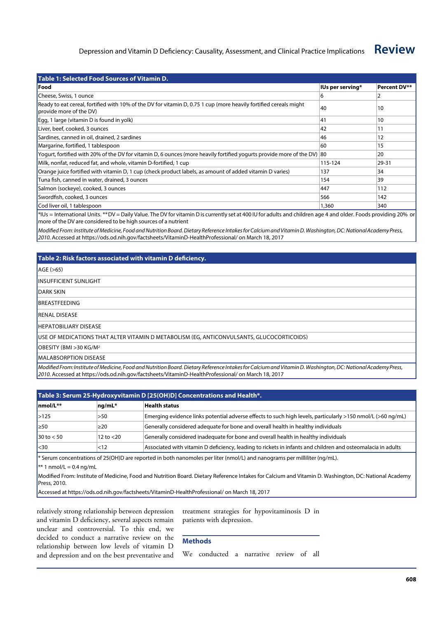| Table 1: Selected Food Sources of Vitamin D.                                                                                                 |                  |              |  |  |  |  |  |
|----------------------------------------------------------------------------------------------------------------------------------------------|------------------|--------------|--|--|--|--|--|
| <b>lFood</b>                                                                                                                                 | IUs per serving* | Percent DV** |  |  |  |  |  |
| Cheese, Swiss, 1 ounce                                                                                                                       | 6                |              |  |  |  |  |  |
| Ready to eat cereal, fortified with 10% of the DV for vitamin D, 0.75 1 cup (more heavily fortified cereals might<br>provide more of the DV) | 40               | 10           |  |  |  |  |  |
| Egg, 1 large (vitamin D is found in yolk)                                                                                                    | 41               | 10           |  |  |  |  |  |
| Liver, beef, cooked, 3 ounces                                                                                                                | 42               | 11           |  |  |  |  |  |
| Sardines, canned in oil, drained, 2 sardines                                                                                                 | 46               | 12           |  |  |  |  |  |
| Margarine, fortified, 1 tablespoon                                                                                                           | 60               | 15           |  |  |  |  |  |
| Yogurt, fortified with 20% of the DV for vitamin D, 6 ounces (more heavily fortified yogurts provide more of the DV) 80                      |                  | 20           |  |  |  |  |  |
| Milk, nonfat, reduced fat, and whole, vitamin D-fortified, 1 cup                                                                             | 115-124          | 29-31        |  |  |  |  |  |
| Orange juice fortified with vitamin D, 1 cup (check product labels, as amount of added vitamin D varies)                                     | 137              | 34           |  |  |  |  |  |
| Tuna fish, canned in water, drained, 3 ounces                                                                                                | 154              | 39           |  |  |  |  |  |
| Salmon (sockeye), cooked, 3 ounces                                                                                                           | 447              | 112          |  |  |  |  |  |
| Swordfish, cooked, 3 ounces                                                                                                                  | 566              | 142          |  |  |  |  |  |
| Cod liver oil, 1 tablespoon                                                                                                                  | 1,360            | 340          |  |  |  |  |  |

\*IUs = International Units. \*\*DV = Daily Value. The DV for vitamin D is currently set at 400 IU for adults and children age 4 and older. Foods providing 20% or more of the DV are considered to be high sources of a nutrient

*Modified From: Institute of Medicine, Food and Nutrition Board. Dietary Reference Intakes for Calcium and Vitamin D. Washington, DC: National Academy Press, 2010.* Accessed at https://ods.od.nih.gov/factsheets/VitaminD-HealthProfessional/ on March 18, 2017

#### **Table 2: Risk factors associated with vitamin D deficiency.**

Age (>65)

Insufficient sunlight

DARK SKIN

Breastfeeding

Renal disease

Hepatobiliary disease

Use of medications that alter vitamin D metabolism (eg, anticonvulsants, glucocorticoids)

OBESITY (BMI >30 KG/M<sup>2</sup>

Malabsorption disease

*Modified From: Institute of Medicine, Food and Nutrition Board. Dietary Reference Intakes for Calcium and Vitamin D. Washington, DC: National Academy Press, 2010.* Accessed at https://ods.od.nih.gov/factsheets/VitaminD-HealthProfessional/ on March 18, 2017

| Table 3: Serum 25-Hydroxyvitamin D [25(OH)D] Concentrations and Health*.                                                  |              |                                                                                                             |  |  |  |
|---------------------------------------------------------------------------------------------------------------------------|--------------|-------------------------------------------------------------------------------------------------------------|--|--|--|
| $lmol/L**$                                                                                                                | $nq/mL^*$    | <b>Health status</b>                                                                                        |  |  |  |
| >125                                                                                                                      | >50          | Emerging evidence links potential adverse effects to such high levels, particularly >150 nmol/L (>60 ng/mL) |  |  |  |
| l≥50                                                                                                                      | $\geq$ 20    | Generally considered adequate for bone and overall health in healthy individuals                            |  |  |  |
| $30$ to $< 50$                                                                                                            | 12 to $<$ 20 | Generally considered inadequate for bone and overall health in healthy individuals                          |  |  |  |
| <sub>30</sub>                                                                                                             | < 12         | Associated with vitamin D deficiency, leading to rickets in infants and children and osteomalacia in adults |  |  |  |
| * Serum concentrations of 25(OH)D are reported in both nanomoles per liter (nmol/L) and nanograms per milliliter (ng/mL). |              |                                                                                                             |  |  |  |
| $nmol/L = 0.4$ ng/mL                                                                                                      |              |                                                                                                             |  |  |  |

Modified From: Institute of Medicine, Food and Nutrition Board. Dietary Reference Intakes for Calcium and Vitamin D. Washington, DC: National Academy Press, 2010.

Accessed at https://ods.od.nih.gov/factsheets/VitaminD-HealthProfessional/ on March 18, 2017

relatively strong relationship between depression and vitamin D deficiency, several aspects remain unclear and controversial. To this end, we decided to conduct a narrative review on the relationship between low levels of vitamin D and depression and on the best preventative and treatment strategies for hypovitaminosis D in patients with depression.

#### **Methods**

We conducted a narrative review of all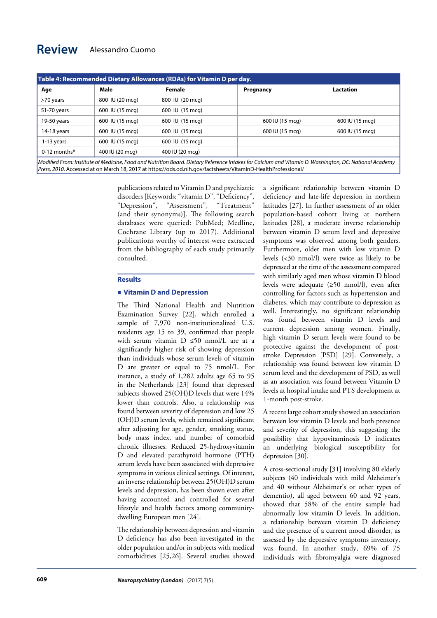| Table 4: Recommended Dietary Allowances (RDAs) for Vitamin D per day.                                                                                 |                 |                 |                 |                 |  |  |  |
|-------------------------------------------------------------------------------------------------------------------------------------------------------|-----------------|-----------------|-----------------|-----------------|--|--|--|
| Age                                                                                                                                                   | Male            | <b>Female</b>   | Pregnancy       | Lactation       |  |  |  |
| >70 years                                                                                                                                             | 800 IU (20 mcg) | 800 IU (20 mcg) |                 |                 |  |  |  |
| 51-70 years                                                                                                                                           | 600 IU (15 mcg) | 600 IU (15 mcg) |                 |                 |  |  |  |
| 19-50 years                                                                                                                                           | 600 IU (15 mcg) | 600 IU (15 mcg) | 600 IU (15 mcg) | 600 IU (15 mcg) |  |  |  |
| 14-18 years                                                                                                                                           | 600 IU (15 mcg) | 600 IU (15 mcg) | 600 IU (15 mcg) | 600 IU (15 mcg) |  |  |  |
| 1-13 years                                                                                                                                            | 600 IU (15 mcg) | 600 IU (15 mcg) |                 |                 |  |  |  |
| $0-12$ months*                                                                                                                                        | 400 IU (20 mcg) | 400 IU (20 mcg) |                 |                 |  |  |  |
| Modified From: Institute of Medicine, Food and Nutrition Board. Dietary Reference Intakes for Calcium and Vitamin D. Washington, DC: National Academy |                 |                 |                 |                 |  |  |  |

*Press, 2010.* Accessed at on March 18, 2017 at https://ods.od.nih.gov/factsheets/VitaminD-HealthProfessional/

publications related to Vitamin D and psychiatric disorders [Keywords: "vitamin D", "Deficiency", "Depression", "Assessment", "Treatment" (and their synonyms)]. The following search databases were queried: PubMed; Medline, Cochrane Library (up to 2017). Additional publications worthy of interest were extracted from the bibliography of each study primarily consulted.

#### **Results**

#### **Vitamin D and Depression**

The Third National Health and Nutrition Examination Survey [22], which enrolled a sample of 7,970 non-institutionalized U.S. residents age 15 to 39, confirmed that people with serum vitamin D ≤50 nmol/L are at a significantly higher risk of showing depression than individuals whose serum levels of vitamin D are greater or equal to 75 nmol/L. For instance, a study of 1,282 adults age 65 to 95 in the Netherlands [23] found that depressed subjects showed 25(OH)D levels that were 14% lower than controls. Also, a relationship was found between severity of depression and low 25 (OH)D serum levels, which remained significant after adjusting for age, gender, smoking status, body mass index, and number of comorbid chronic illnesses. Reduced 25-hydroxyvitamin D and elevated parathyroid hormone (PTH) serum levels have been associated with depressive symptoms in various clinical settings. Of interest, an inverse relationship between 25(OH)D serum levels and depression, has been shown even after having accounted and controlled for several lifestyle and health factors among communitydwelling European men [24].

The relationship between depression and vitamin D deficiency has also been investigated in the older population and/or in subjects with medical comorbidities [25,26]. Several studies showed a significant relationship between vitamin D deficiency and late-life depression in northern latitudes [27]. In further assessment of an older population-based cohort living at northern latitudes [28], a moderate inverse relationship between vitamin D serum level and depressive symptoms was observed among both genders. Furthermore, older men with low vitamin D levels (<30 nmol/l) were twice as likely to be depressed at the time of the assessment compared with similarly aged men whose vitamin D blood levels were adequate (≥50 nmol/l), even after controlling for factors such as hypertension and diabetes, which may contribute to depression as well. Interestingly, no significant relationship was found between vitamin D levels and current depression among women. Finally, high vitamin D serum levels were found to be protective against the development of poststroke Depression [PSD] [29]. Conversely, a relationship was found between low vitamin D serum level and the development of PSD, as well as an association was found between Vitamin D levels at hospital intake and PTS development at 1-month post-stroke.

A recent large cohort study showed an association between low vitamin D levels and both presence and severity of depression, this suggesting the possibility that hypovitaminosis D indicates an underlying biological susceptibility for depression [30].

A cross-sectional study [31] involving 80 elderly subjects (40 individuals with mild Alzheimer's and 40 without Alzheimer's or other types of dementio), all aged between 60 and 92 years, showed that 58% of the entire sample had abnormally low vitamin D levels. In addition, a relationship between vitamin D deficiency and the presence of a current mood disorder, as assessed by the depressive symptoms inventory, was found. In another study, 69% of 75 individuals with fibromyalgia were diagnosed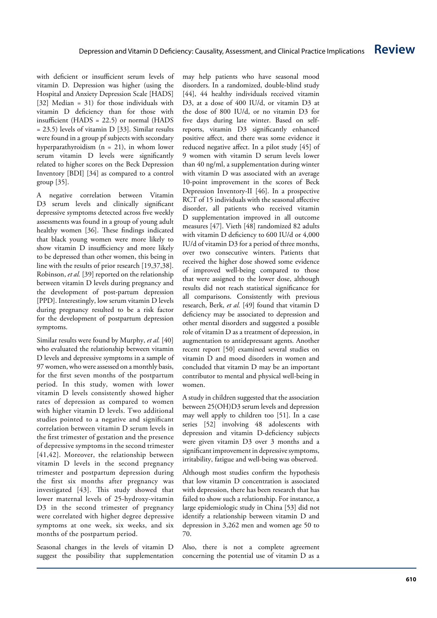with deficient or insufficient serum levels of vitamin D. Depression was higher (using the Hospital and Anxiety Depression Scale [HADS] [32] Median = 31) for those individuals with vitamin D deficiency than for those with insufficient (HADS = 22.5) or normal (HADS = 23.5) levels of vitamin D [33]. Similar results were found in a group pf subjects with secondary hyperparathyroidism (n = 21), in whom lower serum vitamin D levels were significantly related to higher scores on the Beck Depression Inventory [BDI] [34] as compared to a control group [35].

A negative correlation between Vitamin D3 serum levels and clinically significant depressive symptoms detected across five weekly assessments was found in a group of young adult healthy women [36]. These findings indicated that black young women were more likely to show vitamin D insufficiency and more likely to be depressed than other women, this being in line with the results of prior research [19,37,38]. Robinson, *et al.* [39] reported on the relationship between vitamin D levels during pregnancy and the development of post-partum depression [PPD]. Interestingly, low serum vitamin D levels during pregnancy resulted to be a risk factor for the development of postpartum depression symptoms.

Similar results were found by Murphy, *et al.* [40] who evaluated the relationship between vitamin D levels and depressive symptoms in a sample of 97 women, who were assessed on a monthly basis, for the first seven months of the postpartum period. In this study, women with lower vitamin D levels consistently showed higher rates of depression as compared to women with higher vitamin D levels. Two additional studies pointed to a negative and significant correlation between vitamin D serum levels in the first trimester of gestation and the presence of depressive symptoms in the second trimester [41,42]. Moreover, the relationship between vitamin D levels in the second pregnancy trimester and postpartum depression during the first six months after pregnancy was investigated [43]. This study showed that lower maternal levels of 25-hydroxy-vitamin D3 in the second trimester of pregnancy were correlated with higher degree depressive symptoms at one week, six weeks, and six months of the postpartum period.

Seasonal changes in the levels of vitamin D suggest the possibility that supplementation may help patients who have seasonal mood disorders. In a randomized, double-blind study [44], 44 healthy individuals received vitamin D3, at a dose of 400 IU/d, or vitamin D3 at the dose of 800 IU/d, or no vitamin D3 for five days during late winter. Based on selfreports, vitamin D3 significantly enhanced positive affect, and there was some evidence it reduced negative affect. In a pilot study [45] of 9 women with vitamin D serum levels lower than 40 ng/ml, a supplementation during winter with vitamin D was associated with an average 10-point improvement in the scores of Beck Depression Inventory-II [46] . In a prospective RCT of 15 individuals with the seasonal affective disorder, all patients who received vitamin D supplementation improved in all outcome measures [47]. Vieth [48] randomized 82 adults with vitamin D deficiency to 600 IU/d or 4,000 IU/d of vitamin D3 for a period of three months, over two consecutive winters. Patients that received the higher dose showed some evidence of improved well-being compared to those that were assigned to the lower dose, although results did not reach statistical significance for all comparisons. Consistently with previous research, Berk, *et al.* [49] found that vitamin D deficiency may be associated to depression and other mental disorders and suggested a possible role of vitamin D as a treatment of depression, in augmentation to antidepressant agents. Another recent report [50] examined several studies on vitamin D and mood disorders in women and concluded that vitamin D may be an important contributor to mental and physical well-being in women.

A study in children suggested that the association between 25(OH)D3 serum levels and depression may well apply to children too [51]. In a case series [52] involving 48 adolescents with depression and vitamin D-deficiency subjects were given vitamin D3 over 3 months and a significant improvement in depressive symptoms, irritability, fatigue and well-being was observed.

Although most studies confirm the hypothesis that low vitamin D concentration is associated with depression, there has been research that has failed to show such a relationship. For instance, a large epidemiologic study in China [53] did not identify a relationship between vitamin D and depression in 3,262 men and women age 50 to 70.

Also, there is not a complete agreement concerning the potential use of vitamin D as a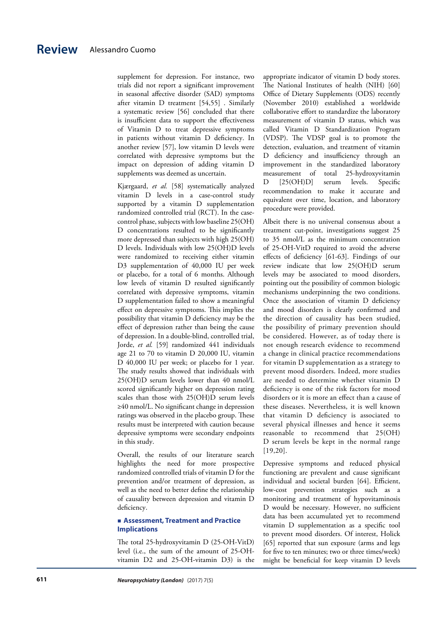supplement for depression. For instance, two trials did not report a significant improvement in seasonal affective disorder (SAD) symptoms after vitamin D treatment [54,55] . Similarly a systematic review [56] concluded that there is insufficient data to support the effectiveness of Vitamin D to treat depressive symptoms in patients without vitamin D deficiency. In another review [57], low vitamin D levels were correlated with depressive symptoms but the impact on depression of adding vitamin D supplements was deemed as uncertain.

Kjærgaard, *et al.* [58] systematically analyzed vitamin D levels in a case-control study supported by a vitamin D supplementation randomized controlled trial (RCT). In the casecontrol phase, subjects with low baseline 25(OH) D concentrations resulted to be significantly more depressed than subjects with high 25(OH) D levels. Individuals with low 25(OH)D levels were randomized to receiving either vitamin D3 supplementation of 40,000 IU per week or placebo, for a total of 6 months. Although low levels of vitamin D resulted significantly correlated with depressive symptoms, vitamin D supplementation failed to show a meaningful effect on depressive symptoms. This implies the possibility that vitamin D deficiency may be the effect of depression rather than being the cause of depression. In a double-blind, controlled trial, Jorde, *et al.* [59] randomized 441 individuals age 21 to 70 to vitamin D 20,000 IU, vitamin D 40,000 IU per week; or placebo for 1 year. The study results showed that individuals with 25(OH)D serum levels lower than 40 nmol/L scored significantly higher on depression rating scales than those with 25(OH)D serum levels ≥40 nmol/L. No significant change in depression ratings was observed in the placebo group. These results must be interpreted with caution because depressive symptoms were secondary endpoints in this study.

Overall, the results of our literature search highlights the need for more prospective randomized controlled trials of vitamin D for the prevention and/or treatment of depression, as well as the need to better define the relationship of causality between depression and vitamin D deficiency.

#### **Assessment, Treatment and Practice Implications**

The total 25-hydroxyvitamin D (25-OH-VitD) level (i.e., the sum of the amount of 25-OHvitamin D2 and 25-OH-vitamin D3) is the appropriate indicator of vitamin D body stores. The National Institutes of health (NIH) [60] Office of Dietary Supplements (ODS) recently (November 2010) established a worldwide collaborative effort to standardize the laboratory measurement of vitamin D status, which was called Vitamin D Standardization Program (VDSP). The VDSP goal is to promote the detection, evaluation, and treatment of vitamin D deficiency and insufficiency through an improvement in the standardized laboratory measurement of total 25-hydroxyvitamin D [25(OH)D] serum levels. Specific recommendation to make it accurate and equivalent over time, location, and laboratory procedure were provided.

Albeit there is no universal consensus about a treatment cut-point, investigations suggest 25 to 35 nmol/L as the minimum concentration of 25-OH-VitD required to avoid the adverse effects of deficiency [61-63]. Findings of our review indicate that low 25(OH)D serum levels may be associated to mood disorders, pointing out the possibility of common biologic mechanisms underpinning the two conditions. Once the association of vitamin D deficiency and mood disorders is clearly confirmed and the direction of causality has been studied, the possibility of primary prevention should be considered. However, as of today there is not enough research evidence to recommend a change in clinical practice recommendations for vitamin D supplementation as a strategy to prevent mood disorders. Indeed, more studies are needed to determine whether vitamin D deficiency is one of the risk factors for mood disorders or it is more an effect than a cause of these diseases. Nevertheless, it is well known that vitamin D deficiency is associated to several physical illnesses and hence it seems reasonable to recommend that 25(OH) D serum levels be kept in the normal range [19,20].

Depressive symptoms and reduced physical functioning are prevalent and cause significant individual and societal burden [64]. Efficient, low-cost prevention strategies such as a monitoring and treatment of hypovitaminosis D would be necessary. However, no sufficient data has been accumulated yet to recommend vitamin D supplementation as a specific tool to prevent mood disorders. Of interest, Holick [65] reported that sun exposure (arms and legs for five to ten minutes; two or three times/week) might be beneficial for keep vitamin D levels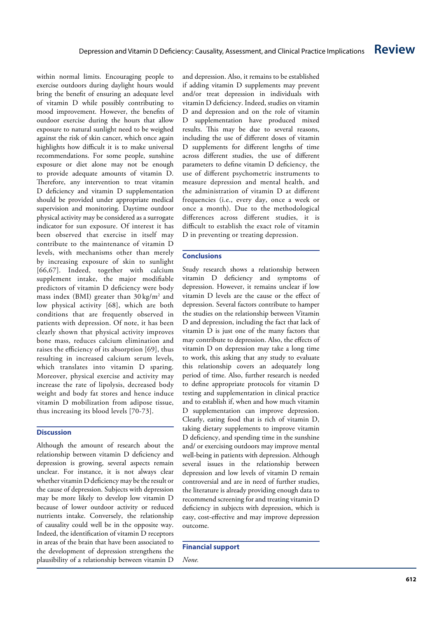within normal limits. Encouraging people to exercise outdoors during daylight hours would bring the benefit of ensuring an adequate level of vitamin D while possibly contributing to mood improvement. However, the benefits of outdoor exercise during the hours that allow exposure to natural sunlight need to be weighed against the risk of skin cancer, which once again highlights how difficult it is to make universal recommendations. For some people, sunshine exposure or diet alone may not be enough to provide adequate amounts of vitamin D. Therefore, any intervention to treat vitamin D deficiency and vitamin D supplementation should be provided under appropriate medical supervision and monitoring. Daytime outdoor physical activity may be considered as a surrogate indicator for sun exposure. Of interest it has been observed that exercise in itself may contribute to the maintenance of vitamin D levels, with mechanisms other than merely by increasing exposure of skin to sunlight [66,67]. Indeed, together with calcium supplement intake, the major modifiable predictors of vitamin D deficiency were body mass index (BMI) greater than 30 kg/m 2 and low physical activity [68], which are both conditions that are frequently observed in patients with depression. Of note, it has been clearly shown that physical activity improves bone mass, reduces calcium elimination and raises the efficiency of its absorption [69], thus resulting in increased calcium serum levels, which translates into vitamin D sparing. Moreover, physical exercise and activity may increase the rate of lipolysis, decreased body weight and body fat stores and hence induce vitamin D mobilization from adipose tissue, thus increasing its blood levels [70-73].

#### **Discussion**

Although the amount of research about the relationship between vitamin D deficiency and depression is growing, several aspects remain unclear. For instance, it is not always clear whether vitamin D deficiency may be the result or the cause of depression. Subjects with depression may be more likely to develop low vitamin D because of lower outdoor activity or reduced nutrients intake. Conversely, the relationship of causality could well be in the opposite way. Indeed, the identification of vitamin D receptors in areas of the brain that have been associated to the development of depression strengthens the plausibility of a relationship between vitamin D

and depression. Also, it remains to be established if adding vitamin D supplements may prevent and/or treat depression in individuals with vitamin D deficiency. Indeed, studies on vitamin D and depression and on the role of vitamin D supplementation have produced mixed results. This may be due to several reasons, including the use of different doses of vitamin D supplements for different lengths of time across different studies, the use of different parameters to define vitamin D deficiency, the use of different psychometric instruments to measure depression and mental health, and the administration of vitamin D at different frequencies (i.e., every day, once a week or once a month). Due to the methodological differences across different studies, it is difficult to establish the exact role of vitamin D in preventing or treating depression.

#### **Conclusions**

Study research shows a relationship between vitamin D deficiency and symptoms of depression. However, it remains unclear if low vitamin D levels are the cause or the effect of depression. Several factors contribute to hamper the studies on the relationship between Vitamin D and depression, including the fact that lack of vitamin D is just one of the many factors that may contribute to depression. Also, the effects of vitamin D on depression may take a long time to work, this asking that any study to evaluate this relationship covers an adequately long period of time. Also, further research is needed to define appropriate protocols for vitamin D testing and supplementation in clinical practice and to establish if, when and how much vitamin D supplementation can improve depression. Clearly, eating food that is rich of vitamin D, taking dietary supplements to improve vitamin D deficiency, and spending time in the sunshine and/ or exercising outdoors may improve mental well-being in patients with depression. Although several issues in the relationship between depression and low levels of vitamin D remain controversial and are in need of further studies, the literature is already providing enough data to recommend screening for and treating vitamin D deficiency in subjects with depression, which is easy, cost-effective and may improve depression outcome.

#### **Financial support**

*None.*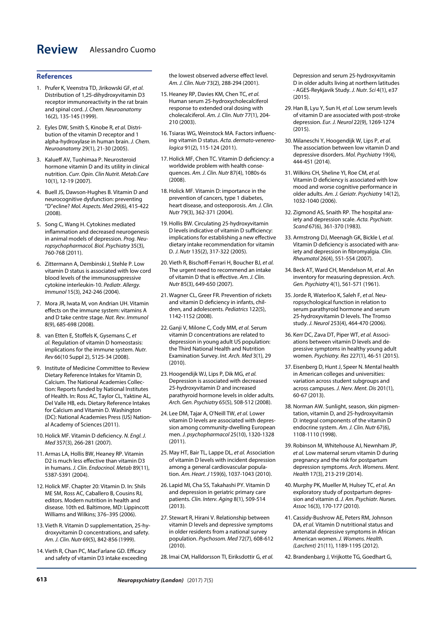# **Review** Alessandro Cuomo

#### **References**

- 1. Prufer K, Veenstra TD, Jirikowski GF, *et al.* Distribution of 1,25-dihydroxyvitamin D3 receptor immunoreactivity in the rat brain and spinal cord. *J. Chem. Neuroanatomy* 16(2), 135-145 (1999).
- 2. Eyles DW, Smith S, Kinobe R, *et al.* Distribution of the vitamin D receptor and 1 alpha-hydroxylase in human brain. *J. Chem. Neuroanatomy* 29(1), 21-30 (2005).
- 3. Kalueff AV, Tuohimaa P. Neurosteroid hormone vitamin D and its utility in clinical nutrition. *Curr. Opin. Clin Nutrit. Metab.Care* 10(1), 12-19 (2007).
- 4. Buell JS, Dawson-Hughes B. Vitamin D and neurocognitive dysfunction: preventing "D"ecline? *Mol. Aspects. Med* 29(6), 415-422 (2008).
- 5. Song C, Wang H. Cytokines mediated inflammation and decreased neurogenesis in animal models of depression. *Prog. Neuropsychopharmacol. Biol. Psychiatry* 35(3), 760-768 (2011).
- 6. Zittermann A, Dembinski J, Stehle P. Low vitamin D status is associated with low cord blood levels of the immunosuppressive cytokine interleukin-10. *Pediatr. Allergy. Immunol* 15(3), 242-246 (2004).
- 7. Mora JR, Iwata M, von Andrian UH. Vitamin effects on the immune system: vitamins A and D take centre stage. *Nat. Rev. Immunol*  8(9), 685-698 (2008).
- 8. van Etten E, Stoffels K, Gysemans C, *et al.* Regulation of vitamin D homeostasis: implications for the immune system. *Nutr. Rev* 66(10 Suppl 2), S125-34 (2008).
- 9. Institute of Medicine Committee to Review Dietary Reference Intakes for Vitamin D, Calcium. The National Academies Collection: Reports funded by National Institutes of Health. In: Ross AC, Taylor CL, Yaktine AL, Del Valle HB, eds. Dietary Reference Intakes for Calcium and Vitamin D. Washington (DC): National Academies Press (US) National Academy of Sciences (2011).
- 10. Holick MF. Vitamin D deficiency. *N. Engl. J. Med* 357(3), 266-281 (2007).
- 11. Armas LA, Hollis BW, Heaney RP. Vitamin D2 is much less effective than vitamin D3 in humans. *J. Clin. Endocrinol. Metab* 89(11), 5387-5391 (2004).
- 12. Holick MF. Chapter 20: Vitamin D. In: Shils ME SM, Ross AC, Caballero B, Cousins RJ, editors. Modern nutrition in health and disease. 10th ed. Baltimore, MD: Lippincott Williams and Wilkins; 376–395 (2006).
- 13. Vieth R. Vitamin D supplementation, 25-hydroxyvitamin D concentrations, and safety. *Am. J. Clin. Nutr* 69(5), 842-856 (1999).
- 14. Vieth R, Chan PC, MacFarlane GD. Efficacy and safety of vitamin D3 intake exceeding

the lowest observed adverse effect level. *Am. J. Clin. Nutr* 73(2), 288-294 (2001).

- 15. Heaney RP, Davies KM, Chen TC, *et al.* Human serum 25-hydroxycholecalciferol response to extended oral dosing with cholecalciferol. *Am. J. Clin. Nutr* 77(1), 204- 210 (2003).
- 16. Tsiaras WG, Weinstock MA. Factors influencing vitamin D status. *Acta. dermato-venereologica* 91(2), 115-124 (2011).
- 17. Holick MF, Chen TC. Vitamin D deficiency: a worldwide problem with health consequences. *Am. J. Clin. Nutr* 87(4), 1080s-6s (2008).
- 18. Holick MF. Vitamin D: importance in the prevention of cancers, type 1 diabetes, heart disease, and osteoporosis. *Am. J. Clin. Nutr* 79(3), 362-371 (2004).
- 19. Hollis BW. Circulating 25-hydroxyvitamin D levels indicative of vitamin D sufficiency: implications for establishing a new effective dietary intake recommendation for vitamin D. *J. Nutr* 135(2), 317-322 (2005).
- 20. Vieth R, Bischoff-Ferrari H, Boucher BJ, *et al.* The urgent need to recommend an intake of vitamin D that is effective. *Am. J. Clin. Nutr* 85(3), 649-650 (2007).
- 21. Wagner CL, Greer FR. Prevention of rickets and vitamin D deficiency in infants, children, and adolescents. *Pediatrics* 122(5), 1142-1152 (2008).
- 22. Ganji V, Milone C, Cody MM, *et al.* Serum vitamin D concentrations are related to depression in young adult US population: the Third National Health and Nutrition Examination Survey. *Int. Arch. Med* 3(1), 29 (2010).
- 23. Hoogendijk WJ, Lips P, Dik MG, *et al.* Depression is associated with decreased 25-hydroxyvitamin D and increased parathyroid hormone levels in older adults. *Arch. Gen. Psychiatry* 65(5), 508-512 (2008).
- 24. Lee DM, Tajar A, O'Neill TW, *et al.* Lower vitamin D levels are associated with depression among community-dwelling European men. *J. psychopharmacol* 25(10), 1320-1328 (2011).
- 25. May HT, Bair TL, Lappe DL, *et al.* Association of vitamin D levels with incident depression among a general cardiovascular population. *Am. Heart. J* 159(6), 1037-1043 (2010).
- 26. Lapid MI, Cha SS, Takahashi PY. Vitamin D and depression in geriatric primary care patients. *Clin. Interv. Aging* 8(1), 509-514 (2013).
- 27. Stewart R, Hirani V. Relationship between vitamin D levels and depressive symptoms in older residents from a national survey population. *Psychosom. Med* 72(7), 608-612 (2010).

28. Imai CM, Halldorsson TI, Eiriksdottir G, *et al.*

Depression and serum 25-hydroxyvitamin D in older adults living at northern latitudes - AGES-Reykjavik Study. *J. Nutr. Sci* 4(1), e37 (2015).

- 29. Han B, Lyu Y, Sun H, *et al.* Low serum levels of vitamin D are associated with post-stroke depression. *Eur. J. Neurol* 22(9), 1269-1274 (2015).
- 30. Milaneschi Y, Hoogendijk W, Lips P, *et al.* The association between low vitamin D and depressive disorders. *Mol. Psychiatry* 19(4), 444-451 (2014).
- 31. Wilkins CH, Sheline YI, Roe CM, *et al.* Vitamin D deficiency is associated with low mood and worse cognitive performance in older adults. *Am. J. Geriatr. Psychiatry* 14(12), 1032-1040 (2006).
- 32. Zigmond AS, Snaith RP. The hospital anxiety and depression scale. *Acta. Psychiatr. Scand* 67(6), 361-370 (1983).
- 33. Armstrong DJ, Meenagh GK, Bickle I, *et al.* Vitamin D deficiency is associated with anxiety and depression in fibromyalgia. *Clin. Rheumatol* 26(4), 551-554 (2007).
- 34. Beck AT, Ward CH, Mendelson M, *et al.* An inventory for measuring depression. *Arch. Gen. Psychiatry* 4(1), 561-571 (1961).
- 35.Jorde R, Waterloo K, Saleh F, *et al.* Neuropsychological function in relation to serum parathyroid hormone and serum 25-hydroxyvitamin D levels. The Tromso study. *J. Neurol* 253(4), 464-470 (2006).
- 36. Kerr DC, Zava DT, Piper WT, *et al.* Associations between vitamin D levels and depressive symptoms in healthy young adult women. *Psychiatry. Res* 227(1), 46-51 (2015).
- 37. Eisenberg D, Hunt J, Speer N. Mental health in American colleges and universities: variation across student subgroups and across campuses. *J. Nerv. Ment. Dis* 201(1), 60-67 (2013).
- 38. Norman AW. Sunlight, season, skin pigmentation, vitamin D, and 25-hydroxyvitamin D: integral components of the vitamin D endocrine system. *Am. J. Clin. Nutr* 67(6), 1108-1110 (1998).
- 39. Robinson M, Whitehouse AJ, Newnham JP, *et al.* Low maternal serum vitamin D during pregnancy and the risk for postpartum depression symptoms. *Arch. Womens. Ment. Health* 17(3), 213-219 (2014).
- 40. Murphy PK, Mueller M, Hulsey TC, *et al.* An exploratory study of postpartum depression and vitamin d. *J. Am. Psychiatr. Nurses. Assoc* 16(3), 170-177 (2010).
- 41. Cassidy-Bushrow AE, Peters RM, Johnson DA, *et al.* Vitamin D nutritional status and antenatal depressive symptoms in African American women. *J. Womens. Health. (Larchmt)* 21(11), 1189-1195 (2012).
- 42. Brandenbarg J, Vrijkotte TG, Goedhart G,